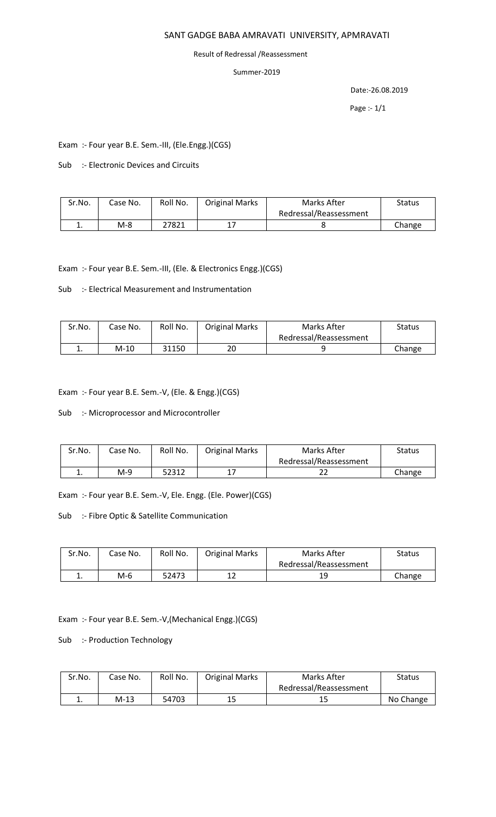### SANT GADGE BABA AMRAVATI UNIVERSITY, APMRAVATI

#### Result of Redressal /Reassessment

### Summer-2019

Date:-26.08.2019

Page :- 1/1

Exam :- Four year B.E. Sem.-III, (Ele.Engg.)(CGS)

Sub :- Electronic Devices and Circuits

| Sr.No. | Case No. | Roll No. | <b>Original Marks</b> | Marks After            | Status |
|--------|----------|----------|-----------------------|------------------------|--------|
|        |          |          |                       | Redressal/Reassessment |        |
| ٠.     | $M-8$    | 27821    |                       |                        | Change |

Exam :- Four year B.E. Sem.-III, (Ele. & Electronics Engg.)(CGS)

Sub :- Electrical Measurement and Instrumentation

| Sr.No. | Case No. | Roll No. | <b>Original Marks</b> | Marks After            | Status |
|--------|----------|----------|-----------------------|------------------------|--------|
|        |          |          |                       | Redressal/Reassessment |        |
| . .    | M-10     | 31150    | 20                    |                        | Change |

Exam :- Four year B.E. Sem.-V, (Ele. & Engg.)(CGS)

Sub :- Microprocessor and Microcontroller

| Sr.No. | Case No. | Roll No. | <b>Original Marks</b> | Marks After            | Status |
|--------|----------|----------|-----------------------|------------------------|--------|
|        |          |          |                       | Redressal/Reassessment |        |
| . .    | $M-9$    | 52312    |                       |                        | Change |

Exam :- Four year B.E. Sem.-V, Ele. Engg. (Ele. Power)(CGS)

Sub :- Fibre Optic & Satellite Communication

| Sr.No. | Case No. | Roll No. | <b>Original Marks</b> | Marks After            | <b>Status</b> |
|--------|----------|----------|-----------------------|------------------------|---------------|
|        |          |          |                       | Redressal/Reassessment |               |
| ٠.     | $M-6$    | 52473    |                       | 19                     | Change        |

Exam :- Four year B.E. Sem.-V,(Mechanical Engg.)(CGS)

Sub :- Production Technology

| Sr.No. | Case No. | Roll No. | <b>Original Marks</b> | Marks After            | <b>Status</b> |
|--------|----------|----------|-----------------------|------------------------|---------------|
|        |          |          |                       | Redressal/Reassessment |               |
| . .    | M-13     | 54703    |                       | 15                     | No Change     |